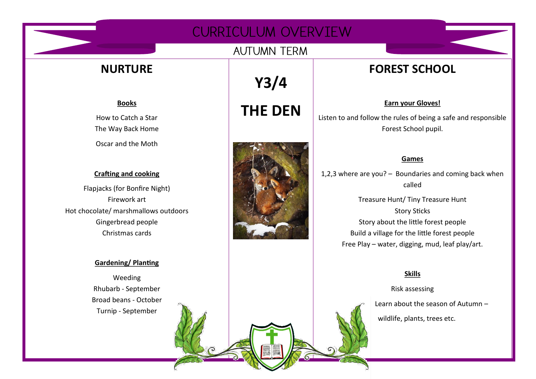# CURRICULUM OVERVIEW

### **AUTUMN TERM**

# **NURTURE**

**Books** How to Catch a Star The Way Back Home

Oscar and the Moth

#### **Crafting and cooking**

Flapjacks (for Bonfire Night) Firework art Hot chocolate/ marshmallows outdoors Gingerbread people Christmas cards

#### **Gardening/ Planting**

Weeding Rhubarb - September Broad beans - October Turnip - September

**Y3/4 THE DEN**



# **FOREST SCHOOL**

**Earn your Gloves!** 

Listen to and follow the rules of being a safe and responsible Forest School pupil.

#### **Games**

1,2,3 where are you? – Boundaries and coming back when called

> Treasure Hunt/ Tiny Treasure Hunt Story Sticks Story about the little forest people Build a village for the little forest people Free Play – water, digging, mud, leaf play/art.

#### **Skills**

#### Risk assessing

 Learn about the season of Autumn – wildlife, plants, trees etc.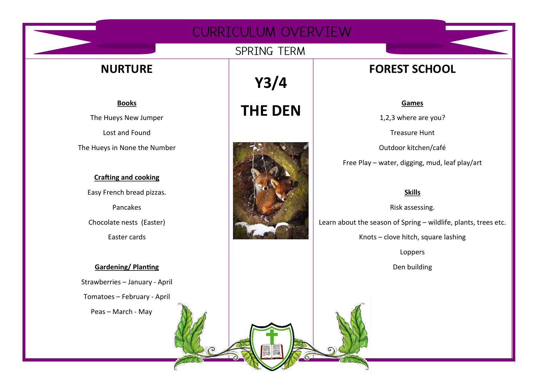# CURRICULUM OVERVIEW

### SPRING TERM

# **NURTURE**

**Books** The Hueys New Jumper Lost and Found

The Hueys in None the Number

# **Crafting and cooking** Easy French bread pizzas. Pancakes Chocolate nests (Easter) Easter cards

## **Gardening/ Planting** Strawberries – January - April Tomatoes – February - April Peas – March - May

**Y3/4 THE DEN**



# **FOREST SCHOOL**

#### **Games**

1,2,3 where are you?

Treasure Hunt

Outdoor kitchen/café

Free Play – water, digging, mud, leaf play/art

#### **Skills**

Risk assessing. Learn about the season of Spring – wildlife, plants, trees etc. Knots – clove hitch, square lashing Loppers Den building